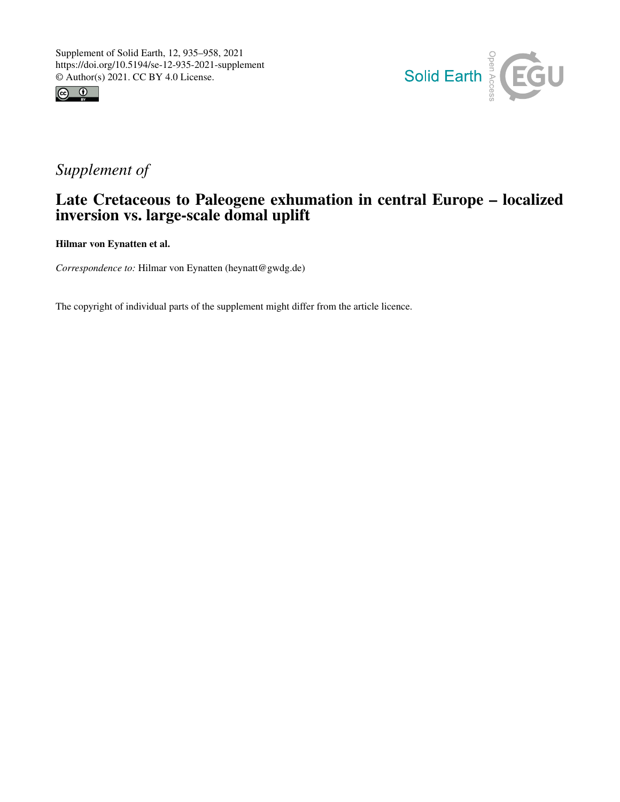



## *Supplement of*

## Late Cretaceous to Paleogene exhumation in central Europe – localized inversion vs. large-scale domal uplift

Hilmar von Eynatten et al.

*Correspondence to:* Hilmar von Eynatten (heynatt@gwdg.de)

The copyright of individual parts of the supplement might differ from the article licence.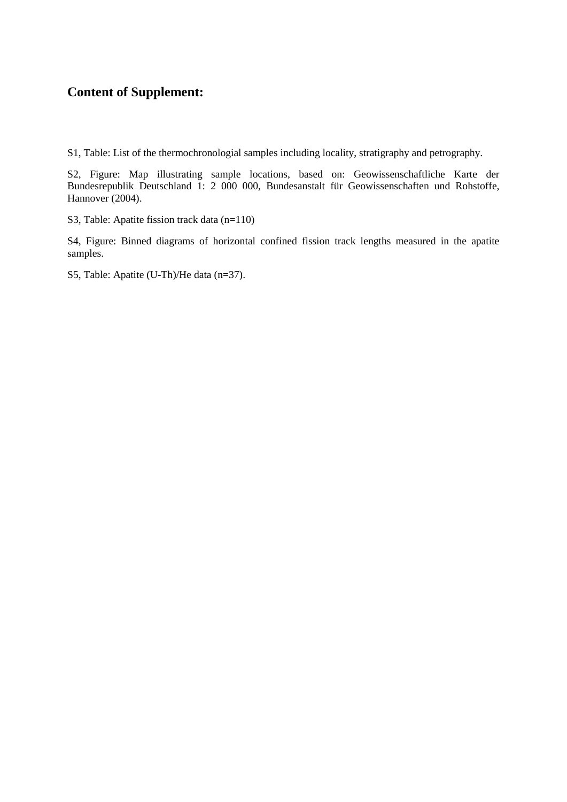## **Content of Supplement:**

S1, Table: List of the thermochronologial samples including locality, stratigraphy and petrography.

S2, Figure: Map illustrating sample locations, based on: Geowissenschaftliche Karte der Bundesrepublik Deutschland 1: 2 000 000, Bundesanstalt für Geowissenschaften und Rohstoffe, Hannover (2004).

S3, Table: Apatite fission track data (n=110)

S4, Figure: Binned diagrams of horizontal confined fission track lengths measured in the apatite samples.

S5, Table: Apatite (U-Th)/He data (n=37).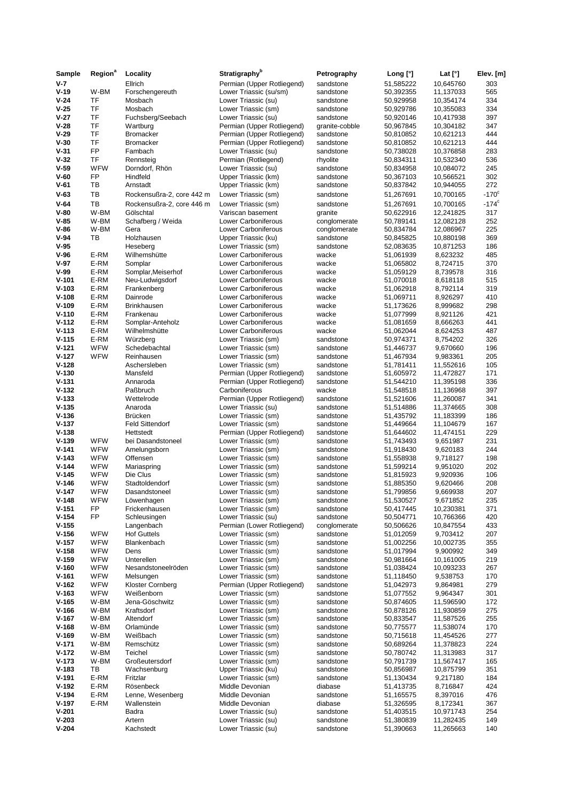|                      |                            |                                   | Stratigraphy <sup>b</sup>                                |                             |                         |                               |                  |
|----------------------|----------------------------|-----------------------------------|----------------------------------------------------------|-----------------------------|-------------------------|-------------------------------|------------------|
| Sample<br>$V - 7$    | <b>Region</b> <sup>a</sup> | Locality<br>Ellrich               | Permian (Upper Rotliegend)                               | Petrography<br>sandstone    | Long $[°]$<br>51,585222 | Lat $[^{\circ}]$<br>10,645760 | Elev. [m]<br>303 |
| $V-19$               | W-BM                       | Forschengereuth                   | Lower Triassic (su/sm)                                   | sandstone                   | 50,392355               | 11,137033                     | 565              |
| $V-24$               | TF                         | Mosbach                           | Lower Triassic (su)                                      | sandstone                   | 50,929958               | 10,354174                     | 334              |
| $V-25$               | TF                         | Mosbach                           | Lower Triassic (sm)                                      | sandstone                   | 50,929786               | 10,355083                     | 334              |
| $V-27$               | TF                         | Fuchsberg/Seebach                 | Lower Triassic (su)                                      | sandstone                   | 50,920146               | 10.417938                     | 397              |
| $V-28$<br>$V-29$     | TF<br>TF                   | Wartburg<br><b>Bromacker</b>      | Permian (Upper Rotliegend)<br>Permian (Upper Rotliegend) | granite-cobble<br>sandstone | 50,967845<br>50,810852  | 10,304182<br>10,621213        | 347<br>444       |
| $V-30$               | TF                         | <b>Bromacker</b>                  | Permian (Upper Rotliegend)                               | sandstone                   | 50,810852               | 10,621213                     | 444              |
| $V-31$               | <b>FP</b>                  | Fambach                           | Lower Triassic (su)                                      | sandstone                   | 50,738028               | 10,376858                     | 283              |
| $V-32$               | TF                         | Rennsteig                         | Permian (Rotliegend)                                     | rhyolite                    | 50,834311               | 10,532340                     | 536              |
| $V-59$               | <b>WFW</b>                 | Dorndorf, Rhön                    | Lower Triassic (su)                                      | sandstone                   | 50,834958               | 10,084072                     | 245              |
| $V-60$<br>$V-61$     | FP<br>TВ                   | Hindfeld<br>Arnstadt              | Upper Triassic (km)<br>Upper Triassic (km)               | sandstone<br>sandstone      | 50,367103<br>50,837842  | 10.566521<br>10,944055        | 302<br>272       |
| $V-63$               | TВ                         | Rockensußra-2, core 442 m         | Lower Triassic (sm)                                      | sandstone                   | 51,267691               | 10,700165                     | $-170^\circ$     |
| $V-64$               | TB                         | Rockensußra-2, core 446 m         | Lower Triassic (sm)                                      | sandstone                   | 51,267691               | 10,700165                     | $-174^\circ$     |
| $V-80$               | W-BM                       | Gölschtal                         | Variscan basement                                        | granite                     | 50,622916               | 12,241825                     | 317              |
| $V-85$               | W-BM                       | Schafberg / Weida                 | Lower Carboniferous                                      | conglomerate                | 50,789141               | 12,082128                     | 252              |
| $V-86$               | W-BM                       | Gera                              | Lower Carboniferous                                      | conglomerate                | 50,834784               | 12,086967                     | 225              |
| $V-94$<br>$V-95$     | TВ                         | Holzhausen<br>Heseberg            | Upper Triassic (ku)<br>Lower Triassic (sm)               | sandstone<br>sandstone      | 50,845825<br>52,083635  | 10,880198<br>10,871253        | 369<br>186       |
| $V-96$               | E-RM                       | Wilhemshütte                      | Lower Carboniferous                                      | wacke                       | 51,061939               | 8,623232                      | 485              |
| $V-97$               | E-RM                       | Somplar                           | Lower Carboniferous                                      | wacke                       | 51,065802               | 8,724715                      | 370              |
| $V-99$               | E-RM                       | Somplar, Meiserhof                | Lower Carboniferous                                      | wacke                       | 51,059129               | 8,739578                      | 316              |
| $V - 101$            | E-RM                       | Neu-Ludwigsdorf                   | Lower Carboniferous                                      | wacke                       | 51,070018               | 8.618118                      | 515              |
| $V-103$<br>$V-108$   | E-RM<br>E-RM               | Frankenberg<br>Dainrode           | Lower Carboniferous<br>Lower Carboniferous               | wacke<br>wacke              | 51,062918               | 8,792114                      | 319<br>410       |
| $V-109$              | E-RM                       | <b>Brinkhausen</b>                | Lower Carboniferous                                      | wacke                       | 51,069711<br>51,173626  | 8,926297<br>8,999682          | 298              |
| $V - 110$            | E-RM                       | Frankenau                         | Lower Carboniferous                                      | wacke                       | 51,077999               | 8,921126                      | 421              |
| $V-112$              | E-RM                       | Somplar-Anteholz                  | Lower Carboniferous                                      | wacke                       | 51,081659               | 8,666263                      | 441              |
| $V - 113$            | E-RM                       | Wilhelmshütte                     | Lower Carboniferous                                      | wacke                       | 51,062044               | 8,624253                      | 487              |
| $V-115$<br>$V-121$   | E-RM<br><b>WFW</b>         | Würzberg<br>Schedebachtal         | Lower Triassic (sm)<br>Lower Triassic (sm)               | sandstone<br>sandstone      | 50,974371               | 8,754202<br>9,670660          | 326<br>196       |
| $V-127$              | <b>WFW</b>                 | Reinhausen                        | Lower Triassic (sm)                                      | sandstone                   | 51,446737<br>51,467934  | 9,983361                      | 205              |
| $V-128$              |                            | Aschersleben                      | Lower Triassic (sm)                                      | sandstone                   | 51,781411               | 11,552616                     | 105              |
| $V-130$              |                            | Mansfeld                          | Permian (Upper Rotliegend)                               | sandstone                   | 51,605972               | 11,472827                     | 171              |
| $V - 131$            |                            | Annaroda                          | Permian (Upper Rotliegend)                               | sandstone                   | 51,544210               | 11,395198                     | 336              |
| $V-132$<br>$V-133$   |                            | Paßbruch<br>Wettelrode            | Carboniferous<br>Permian (Upper Rotliegend)              | wacke<br>sandstone          | 51,548518<br>51,521606  | 11,136968<br>11,260087        | 397<br>341       |
| $V-135$              |                            | Anaroda                           | Lower Triassic (su)                                      | sandstone                   | 51,514886               | 11,374665                     | 308              |
| $V-136$              |                            | Brücken                           | Lower Triassic (sm)                                      | sandstone                   | 51,435792               | 11,183399                     | 186              |
| $V-137$              |                            | <b>Feld Sittendorf</b>            | Lower Triassic (sm)                                      | sandstone                   | 51,449664               | 11,104679                     | 167              |
| $V-138$              |                            | Hettstedt                         | Permian (Upper Rotliegend)                               | sandstone                   | 51,644602               | 11,474151                     | 229              |
| $V-139$<br>$V - 141$ | WFW<br><b>WFW</b>          | bei Dasandstoneel<br>Amelungsborn | Lower Triassic (sm)<br>Lower Triassic (sm)               | sandstone<br>sandstone      | 51,743493<br>51,918430  | 9,651987<br>9,620183          | 231<br>244       |
| $V - 143$            | <b>WFW</b>                 | Offensen                          | Lower Triassic (sm)                                      | sandstone                   | 51,558938               | 9,718127                      | 198              |
| $V - 144$            | <b>WFW</b>                 | Mariaspring                       | Lower Triassic (sm)                                      | sandstone                   | 51,599214               | 9,951020                      | 202              |
| $V - 145$            | <b>WFW</b>                 | Die Clus                          | Lower Triassic (sm)                                      | sandstone                   | 51,815923               | 9,920936                      | 106              |
| $V-146$<br>$V-147$   | <b>WFW</b><br>WFW          | Stadtoldendorf<br>Dasandstoneel   | Lower Triassic (sm)<br>Lower Triassic (sm)               | sandstone<br>sandstone      | 51,885350<br>51,799856  | 9,620466<br>9,669938          | 208<br>207       |
| $V-148$              | <b>WFW</b>                 | Löwenhagen                        | Lower Triassic (sm)                                      | sandstone                   | 51,530527               | 9,671852                      | 235              |
| $V-151$              | FP                         | Frickenhausen                     | Lower Triassic (sm)                                      | sandstone                   | 50,417445               | 10,230381                     | 371              |
| $V-154$              | FP                         | Schleusingen                      | Lower Triassic (su)                                      | sandstone                   | 50,504771               | 10,766366                     | 420              |
| $V-155$              |                            | Langenbach                        | Permian (Lower Rotliegend)                               | conglomerate                | 50,506626               | 10,847554                     | 433              |
| $V-156$<br>$V-157$   | <b>WFW</b><br>WFW          | <b>Hof Guttels</b><br>Blankenbach | Lower Triassic (sm)<br>Lower Triassic (sm)               | sandstone<br>sandstone      | 51,012059<br>51,002256  | 9,703412<br>10,002735         | 207<br>355       |
| $V-158$              | WFW                        | Dens                              | Lower Triassic (sm)                                      | sandstone                   | 51,017994               | 9,900992                      | 349              |
| $V-159$              | WFW                        | Unterellen                        | Lower Triassic (sm)                                      | sandstone                   | 50,981664               | 10,161005                     | 219              |
| $V-160$              | WFW                        | Nesandstoneelröden                | Lower Triassic (sm)                                      | sandstone                   | 51,038424               | 10,093233                     | 267              |
| $V-161$              | <b>WFW</b>                 | Melsungen                         | Lower Triassic (sm)                                      | sandstone                   | 51,118450               | 9,538753                      | 170              |
| $V-162$<br>$V-163$   | <b>WFW</b><br><b>WFW</b>   | Kloster Cornberg<br>Weißenborn    | Permian (Upper Rotliegend)<br>Lower Triassic (sm)        | sandstone<br>sandstone      | 51,042973<br>51,077552  | 9,864981<br>9,964347          | 279<br>301       |
| $V-165$              | W-BM                       | Jena-Göschwitz                    | Lower Triassic (sm)                                      | sandstone                   | 50,874605               | 11,596590                     | 172              |
| $V-166$              | W-BM                       | Kraftsdorf                        | Lower Triassic (sm)                                      | sandstone                   | 50,878126               | 11,930859                     | 275              |
| $V-167$              | W-BM                       | Altendorf                         | Lower Triassic (sm)                                      | sandstone                   | 50,833547               | 11,587526                     | 255              |
| $V-168$<br>$V-169$   | W-BM<br>W-BM               | Orlamünde<br>Weißbach             | Lower Triassic (sm)<br>Lower Triassic (sm)               | sandstone<br>sandstone      | 50,775577<br>50,715618  | 11,538074<br>11,454526        | 170<br>277       |
| $V-171$              | W-BM                       | Remschütz                         | Lower Triassic (sm)                                      | sandstone                   | 50,689264               | 11,378823                     | 224              |
| $V-172$              | W-BM                       | Teichel                           | Lower Triassic (sm)                                      | sandstone                   | 50,780742               | 11,313983                     | 317              |
| $V-173$              | W-BM                       | Großeutersdorf                    | Lower Triassic (sm)                                      | sandstone                   | 50,791739               | 11,567417                     | 165              |
| $V-183$              | TВ                         | Wachsenburg                       | Upper Triassic (ku)                                      | sandstone                   | 50,856987               | 10,875799                     | 351              |
| $V-191$<br>$V-192$   | E-RM<br>E-RM               | Fritzlar<br>Rösenbeck             | Lower Triassic (sm)<br>Middle Devonian                   | sandstone<br>diabase        | 51,130434<br>51,413735  | 9,217180<br>8,716847          | 184<br>424       |
| $V-194$              | E-RM                       | Lenne, Wesenberg                  | Middle Devonian                                          | sandstone                   | 51,165575               | 8,397016                      | 476              |
| $V-197$              | E-RM                       | Wallenstein                       | Middle Devonian                                          | diabase                     | 51,326595               | 8,172341                      | 367              |
| $V-201$              |                            | Badra                             | Lower Triassic (su)                                      | sandstone                   | 51,403515               | 10,971743                     | 254              |
| $V-203$              |                            | Artern                            | Lower Triassic (su)                                      | sandstone                   | 51,380839               | 11,282435                     | 149              |
| $V-204$              |                            | Kachstedt                         | Lower Triassic (su)                                      | sandstone                   | 51,390663               | 11,265663                     | 140              |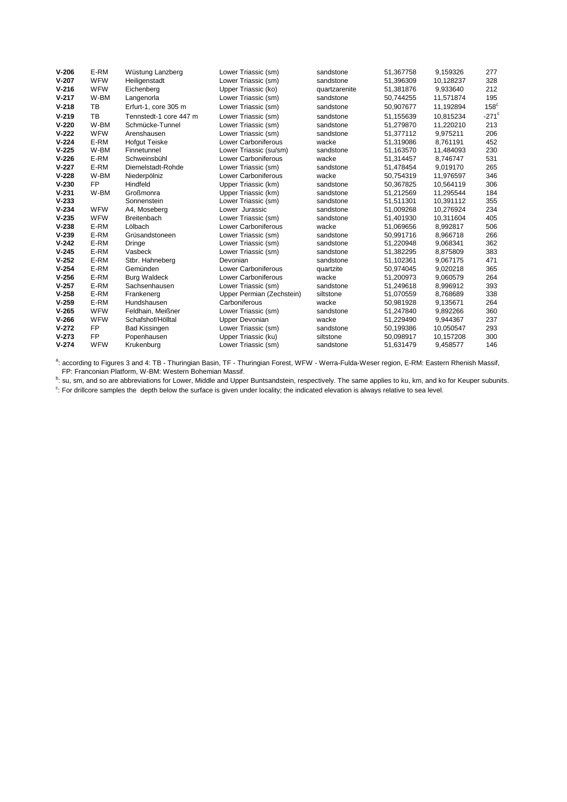| $V - 206$ | E-RM       | Wüstung Lanzberg       | Lower Triassic (sm)       | sandstone     | 51.367758 | 9.159326  | 277                 |
|-----------|------------|------------------------|---------------------------|---------------|-----------|-----------|---------------------|
| $V-207$   | <b>WFW</b> | Heiligenstadt          | Lower Triassic (sm)       | sandstone     | 51,396309 | 10.128237 | 328                 |
| $V-216$   | <b>WFW</b> | Eichenberg             | Upper Triassic (ko)       | quartzarenite | 51,381876 | 9,933640  | 212                 |
| $V - 217$ | W-BM       | Langenorla             | Lower Triassic (sm)       | sandstone     | 50,744255 | 11,571874 | 195                 |
| $V - 218$ | TB         | Erfurt-1, core 305 m   | Lower Triassic (sm)       | sandstone     | 50,907677 | 11,192894 | $158^\circ$         |
| $V - 219$ | TB         | Tennstedt-1 core 447 m | Lower Triassic (sm)       | sandstone     | 51,155639 | 10,815234 | $-271$ <sup>c</sup> |
| $V-220$   | W-BM       | Schmücke-Tunnel        | Lower Triassic (sm)       | sandstone     | 51,279870 | 11,220210 | 213                 |
| $V-222$   | <b>WFW</b> | Arenshausen            | Lower Triassic (sm)       | sandstone     | 51.377112 | 9.975211  | 206                 |
| $V - 224$ | E-RM       | <b>Hofgut Teiske</b>   | Lower Carboniferous       | wacke         | 51,319086 | 8,761191  | 452                 |
| $V-225$   | W-BM       | Finnetunnel            | Lower Triassic (su/sm)    | sandstone     | 51,163570 | 11,484093 | 230                 |
| $V-226$   | E-RM       | Schweinsbühl           | Lower Carboniferous       | wacke         | 51,314457 | 8,746747  | 531                 |
| $V-227$   | E-RM       | Diemelstadt-Rohde      | Lower Triassic (sm)       | sandstone     | 51,478454 | 9,019170  | 265                 |
| $V-228$   | W-BM       | Niederpölniz           | Lower Carboniferous       | wacke         | 50,754319 | 11,976597 | 346                 |
| $V-230$   | <b>FP</b>  | Hindfeld               | Upper Triassic (km)       | sandstone     | 50,367825 | 10,564119 | 306                 |
| $V - 231$ | W-BM       | Großmonra              | Upper Triassic (km)       | sandstone     | 51,212569 | 11,295544 | 184                 |
| $V - 233$ |            | Sonnenstein            | Lower Triassic (sm)       | sandstone     | 51,511301 | 10,391112 | 355                 |
| $V - 234$ | <b>WFW</b> | A4, Moseberg           | Lower Jurassic            | sandstone     | 51,009268 | 10,276924 | 234                 |
| $V-235$   | <b>WFW</b> | <b>Breitenbach</b>     | Lower Triassic (sm)       | sandstone     | 51,401930 | 10,311604 | 405                 |
| $V-238$   | E-RM       | Lölbach                | Lower Carboniferous       | wacke         | 51,069656 | 8,992817  | 506                 |
| $V-239$   | E-RM       | Grüsandstoneen         | Lower Triassic (sm)       | sandstone     | 50,991716 | 8,966718  | 266                 |
| $V - 242$ | E-RM       | Dringe                 | Lower Triassic (sm)       | sandstone     | 51,220948 | 9,068341  | 362                 |
| $V - 245$ | E-RM       | Vasbeck                | Lower Triassic (sm)       | sandstone     | 51,382295 | 8,875809  | 383                 |
| $V-252$   | E-RM       | Stbr. Hahneberg        | Devonian                  | sandstone     | 51,102361 | 9.067175  | 471                 |
| $V-254$   | E-RM       | Gemünden               | Lower Carboniferous       | quartzite     | 50,974045 | 9,020218  | 365                 |
| $V-256$   | E-RM       | <b>Burg Waldeck</b>    | Lower Carboniferous       | wacke         | 51,200973 | 9,060579  | 264                 |
| $V-257$   | E-RM       | Sachsenhausen          | Lower Triassic (sm)       | sandstone     | 51,249618 | 8,996912  | 393                 |
| $V-258$   | E-RM       | Frankenerg             | Upper Permian (Zechstein) | siltstone     | 51,070559 | 8,768689  | 338                 |
| $V-259$   | E-RM       | Hundshausen            | Carboniferous             | wacke         | 50,981928 | 9,135671  | 264                 |
| $V-265$   | <b>WFW</b> | Feldhain, Meißner      | Lower Triassic (sm)       | sandstone     | 51,247840 | 9,892266  | 360                 |
| $V-266$   | <b>WFW</b> | Schafshof/Hölltal      | Upper Devonian            | wacke         | 51,229490 | 9,944367  | 237                 |
| $V-272$   | <b>FP</b>  | <b>Bad Kissingen</b>   | Lower Triassic (sm)       | sandstone     | 50,199386 | 10,050547 | 293                 |
| $V - 273$ | <b>FP</b>  | Popenhausen            | Upper Triassic (ku)       | siltstone     | 50,098917 | 10,157208 | 300                 |
| $V-274$   | <b>WFW</b> | Krukenburg             | Lower Triassic (sm)       | sandstone     | 51,631479 | 9,458577  | 146                 |

<sup>a</sup>: according to Figures 3 and 4: TB - Thuringian Basin, TF - Thuringian Forest, WFW - Werra-Fulda-Weser region, E-RM: Eastern Rhenish Massif, FP: Franconian Platform, W-BM: Western Bohemian Massif.

<sup>b</sup>: su, sm, and so are abbreviations for Lower, Middle and Upper Buntsandstein, respectively. The same applies to ku, km, and ko for Keuper subunits. <sup>c</sup>: For drillcore samples the depth below the surface is given under locality; the indicated elevation is always relative to sea level.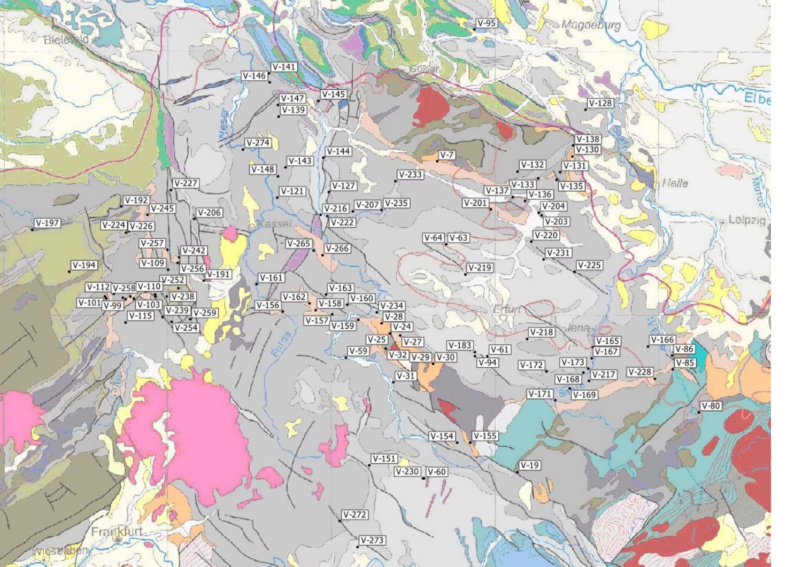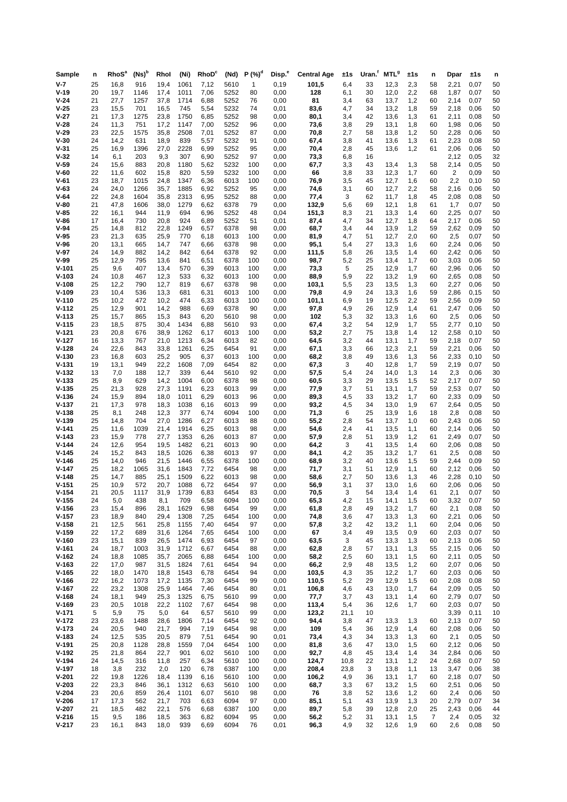| Sample               | n        | $RhoS^a$     | $(Ns)^{p}$ | Rhol         | (Ni)         | RhoD <sup>c</sup> | (Nd)         | $P({\%})^d$ | Disp. <sup>e</sup> | <b>Central Age</b> | ±1s        | Uran.'   | <b>MTL</b> <sup>g</sup> | ±1s             | n        | <b>Dpar</b>  | ±1s          | n        |
|----------------------|----------|--------------|------------|--------------|--------------|-------------------|--------------|-------------|--------------------|--------------------|------------|----------|-------------------------|-----------------|----------|--------------|--------------|----------|
| $V - 7$              | 25       | 16,8         | 916        | 19,4         | 1061         | 7,12              | 5610         | 1           | 0,19               | 101,5              | 6,4        | 33       | 12,3                    | 2,3             | 58       | 2,21         | 0,07         | 50       |
| $V-19$               | 20       | 19,7         | 1146       | 17,4         | 1011         | 7,06              | 5252         | 80          | 0,00               | 128                | 6,1        | 30       | 12,0                    | 2,2             | 68       | 1,87         | 0,07         | 50       |
| $V-24$               | 21       | 27,7         | 1257       | 37,8         | 1714         | 6,88              | 5252         | 76          | 0,00               | 81                 | 3,4        | 63       | 13,7                    | 1,2             | 60       | 2,14         | 0,07         | 50       |
| $V-25$               | 23       | 15,5         | 701        | 16,5         | 745          | 5,54              | 5232         | 74          | 0,01               | 83,6               | 4,7        | 34       | 13,2                    | 1,8             | 59       | 2,18         | 0,06         | 50       |
| $V-27$               | 21       | 17,3         | 1275       | 23,8         | 1750         | 6,85              | 5252         | 98          | 0,00               | 80,1               | 3,4        | 42       | 13,6                    | 1,3             | 61       | 2,11         | 0,08         | 50       |
| $V-28$               | 24       | 11,3         | 751        | 17,2         | 1147         | 7,00              | 5252         | 96          | 0,00               | 73,6               | 3,8        | 29       | 13,1                    | 1,8             | 60       | 1,98         | 0,06         | 50       |
| $V-29$               | 23       | 22,5         | 1575       | 35,8         | 2508         | 7,01              | 5252         | 87          | 0,00               | 70,8               | 2,7        | 58       | 13,8                    | 1,2             | 50       | 2,28         | 0,06         | 50       |
| $V-30$               | 24       | 14,2         | 631        | 18,9         | 839          | 5,57              | 5232         | 91          | 0,00               | 67,4               | 3,8        | 41       | 13,6                    | 1,3             | 61       | 2,23         | 0,08         | 50       |
| $V-31$               | 25       | 16,9         | 1396       | 27,0         | 2228         | 6,99              | 5252         | 95          | 0,00               | 70,4               | 2,8        | 45       | 13,6                    | 1,2             | 61       | 2,06         | 0,06         | 50       |
| $V-32$<br>$V-59$     | 14<br>24 | 6,1<br>15,6  | 203<br>883 | 9,3<br>20,8  | 307<br>1180  | 6,90<br>5,62      | 5252<br>5232 | 97<br>100   | 0,00<br>0,00       | 73,3<br>67,7       | 6,8<br>3,3 | 16<br>43 | 13,4                    |                 | 58       | 2,12<br>2,14 | 0,05<br>0,05 | 32<br>50 |
| $V-60$               | 22       | 11,6         | 602        | 15,8         | 820          | 5,59              | 5232         | 100         | 0,00               | 66                 | 3,8        | 33       | 12,3                    | 1,3<br>1,7      | 60       | 2            | 0,09         | 50       |
| $V - 61$             | 23       | 18,7         | 1015       | 24,8         | 1347         | 6,36              | 6013         | 100         | 0,00               | 76,9               | 3,5        | 45       | 12,7                    | 1,6             | 60       | 2,2          | 0,10         | 50       |
| $V-63$               | 24       | 24,0         | 1266       | 35,7         | 1885         | 6,92              | 5252         | 95          | 0,00               | 74,6               | 3,1        | 60       | 12,7                    | 2,2             | 58       | 2,16         | 0,06         | 50       |
| $V-64$               | 22       | 24,8         | 1604       | 35,8         | 2313         | 6,95              | 5252         | 88          | 0,00               | 77,4               | 3          | 62       | 11,7                    | 1,8             | 45       | 2,08         | 0,08         | 50       |
| $V-80$               | 21       | 47,8         | 1606       | 38,0         | 1279         | 6,62              | 6378         | 79          | 0,00               | 132,9              | 5,6        | 69       | 12,1                    | 1,8             | 61       | 1,7          | 0,07         | 50       |
| $V-85$               | 22       | 16,1         | 944        | 11,9         | 694          | 6,96              | 5252         | 48          | 0,04               | 151,3              | 8,3        | 21       | 13,3                    | 1,4             | 60       | 2,25         | 0,07         | 50       |
| $V-86$               | 17       | 16,4         | 730        | 20,8         | 924          | 6,89              | 5252         | 51          | 0,01               | 87,4               | 4,7        | 34       | 12,7                    | 1,8             | 64       | 2,17         | 0,06         | 50       |
| V-94                 | 25       | 14,8         | 812        | 22,8         | 1249         | 6,57              | 6378         | 98          | 0,00               | 68,7               | 3,4        | 44       | 13,9                    | 1,2             | 59       | 2,62         | 0,09         | 50       |
| $V-95$               | 23       | 21,3         | 635        | 25,9         | 770          | 6,18              | 6013         | 100         | 0,00               | 81,9               | 4,7        | 51       | 12,7                    | 2,0             | 60       | 2,5          | 0,07         | 50       |
| V-96                 | 20       | 13,1         | 665        | 14,7         | 747          | 6,66              | 6378         | 98          | 0,00               | 95,1               | 5,4        | 27       | 13,3                    | 1,6             | 60       | 2,24         | 0,06         | 50       |
| $V-97$               | 24       | 14,9         | 882        | 14,2         | 842          | 6,64              | 6378         | 92          | 0,00               | 111,5              | 5,8        | 26       | 13,5                    | 1,4             | 60       | 2,42         | 0,06         | 50       |
| $V-99$               | 25       | 12,9         | 795        | 13,6         | 841          | 6,51              | 6378         | 100         | 0,00               | 98,7               | 5,2        | 25       | 13,4                    | 1,7             | 60       | 3,03         | 0,06         | 50       |
| $V - 101$            | 25       | 9,6          | 407        | 13,4         | 570          | 6,39              | 6013         | 100         | 0,00               | 73,3               | 5          | 25       | 12,9                    | 1,7             | 60       | 2,96         | 0,06         | 50       |
| $V - 103$<br>$V-108$ | 24       | 10,8         | 467        | 12,3         | 533          | 6,32              | 6013         | 100         | 0,00               | 88,9               | 5,9        | 22       | 13,2                    | 1,9             | 60       | 2,65         | 0,08         | 50       |
| $V-109$              | 25<br>23 | 12,2         | 790<br>536 | 12,7         | 819<br>681   | 6,67<br>6,31      | 6378<br>6013 | 98<br>100   | 0,00<br>0,00       | 103,1<br>79,8      | 5,5<br>4,9 | 23<br>24 | 13,5                    | 1,3<br>1,6      | 60<br>59 | 2,27<br>2,86 | 0,06         | 50<br>50 |
| $V-110$              | 25       | 10,4<br>10,2 | 472        | 13,3<br>10,2 | 474          | 6,33              | 6013         | 100         | 0,00               | 101,1              | 6,9        | 19       | 13,3<br>12,5            | 2,2             | 59       | 2,56         | 0,15<br>0,09 | 50       |
| $V-112$              | 25       | 12,9         | 901        | 14,2         | 988          | 6,69              | 6378         | 90          | 0,00               | 97,8               | 4,9        | 26       | 12,9                    | 1,4             | 61       | 2,47         | 0,06         | 50       |
| $V - 113$            | 25       | 15,7         | 865        | 15,3         | 843          | 6,20              | 5610         | 98          | 0,00               | 102                | 5,3        | 32       | 13,3                    | 1,6             | 60       | 2,5          | 0,06         | 50       |
| $V-115$              | 23       | 18,5         | 875        | 30,4         | 1434         | 6,88              | 5610         | 93          | 0,00               | 67,4               | 3,2        | 54       | 12,9                    | 1,7             | 55       | 2,77         | 0,10         | 50       |
| $V-121$              | 23       | 20,8         | 676        | 38,9         | 1262         | 6,17              | 6013         | 100         | 0,00               | 53,2               | 2,7        | 75       | 13,8                    | 1,4             | 12       | 2,58         | 0,10         | 50       |
| $V-127$              | 16       | 13,3         | 767        | 21,0         | 1213         | 6,34              | 6013         | 82          | 0,00               | 64,5               | 3,2        | 44       | 13,1                    | 1,7             | 59       | 2,18         | 0,07         | 50       |
| $V-128$              | 24       | 22,6         | 843        | 33,8         | 1261         | 6,25              | 6454         | 91          | 0,00               | 67,1               | 3,3        | 66       | 12,3                    | 2,1             | 59       | 2,21         | 0,06         | 50       |
| $V-130$              | 23       | 16,8         | 603        | 25,2         | 905          | 6,37              | 6013         | 100         | 0,00               | 68,2               | 3,8        | 49       | 13,6                    | 1,3             | 56       | 2,33         | 0,10         | 50       |
| $V-131$              | 19       | 13,1         | 949        | 22,2         | 1608         | 7,09              | 6454         | 82          | 0,00               | 67,3               | 3          | 40       | 12,8                    | 1,7             | 59       | 2,19         | 0,07         | 50       |
| $V-132$              | 13       | 7,0          | 188        | 12,7         | 339          | 6,44              | 5610         | 92          | 0,00               | 57,5               | 5,4        | 24       | 14,0                    | 1,3             | 14       | 2,3          | 0,06         | 30       |
| $V-133$              | 25       | 8,9          | 629        | 14,2         | 1004         | 6,00              | 6378         | 98          | 0,00               | 60,5               | 3,3        | 29       | 13,5                    | 1,5             | 52       | 2,17         | 0,07         | 50       |
| $V-135$              | 25       | 21,3         | 928        | 27,3         | 1191         | 6,23              | 6013         | 99          | 0,00               | 77,9               | 3,7        | 51       | 13,1                    | 1,7             | 59       | 2,53         | 0,07         | 50       |
| $V-136$              | 24       | 15,9         | 894        | 18,0         | 1011         | 6,29              | 6013         | 96          | 0,00               | 89,3               | 4,5        | 33       | 13,2                    | 1,7             | 60       | 2,33         | 0,09         | 50       |
| $V-137$              | 21       | 17,3         | 978        | 18,3         | 1038         | 6,16              | 6013         | 99          | 0,00               | 93,2               | 4,5        | 34       | 13,0                    | 1,9             | 67       | 2,64         | 0,05         | 50       |
| $V-138$<br>$V-139$   | 25<br>25 | 8,1<br>14,8  | 248<br>704 | 12,3<br>27,0 | 377<br>1286  | 6,74<br>6,27      | 6094<br>6013 | 100<br>88   | 0,00<br>0,00       | 71,3<br>55,2       | 6<br>2,8   | 25<br>54 | 13,9<br>13,7            | 1,6<br>1,0      | 18<br>60 | 2,8<br>2,43  | 0,08<br>0,06 | 50<br>50 |
| $V - 141$            | 25       | 11,6         | 1039       | 21,4         | 1914         | 6,25              | 6013         | 98          | 0,00               | 54,6               | 2,4        | 41       | 13,5                    | 1,1             | 60       | 2,14         | 0,06         | 50       |
| $V-143$              | 23       | 15,9         | 778        | 27,7         | 1353         | 6,26              | 6013         | 87          | 0,00               | 57,9               | 2,8        | 51       | 13,9                    | 1,2             | 61       | 2,49         | 0,07         | 50       |
| $V - 144$            | 24       | 12,6         | 954        | 19,5         | 1482         | 6,21              | 6013         | 90          | 0,00               | 64,2               | 3          | 41       | 13,5                    | 1,4             | 60       | 2,06         | 0,08         | 50       |
| $V-145$              | 24       | 15,2         | 843        | 18,5         | 1026         | 6,38              | 6013         | 97          | 0,00               | 84,1               | 4,2        | 35       | 13,2                    | 1,7             | 61       | 2,5          | 0,08         | 50       |
| $V - 146$            | 25       | 14,0         | 946        | 21,5         | 1446         | 6,55              | 6378         | 100         | 0,00               | 68,9               | 3,2        | 40       | 13,6                    | 1,5             | 59       | 2,44         | 0,09         | 50       |
| $V-147$              | 25       | 18,2         | 1065       | 31,6         | 1843         | 7,72              | 6454         | 98          | 0,00               | 71,7               | 3,1        | 51       | 12,9                    | 1,1             | 60       | 2,12         | 0,06         | 50       |
| $V-148$              | 25       | 14,7         | 885        | 25,1         | 1509         | 6,22              | 6013         | 98          | 0,00               | 58,6               | 2,7        | 50       | 13,6                    | 1,3             | 46       | 2,28         | 0,10         | 50       |
| $V - 151$            | 25       | 10,9         | 572        | 20,7         | 1088         | 6,72              | 6454         | 97          | 0,00               | 56,9               | 3,1        | 37       | 13,0                    | 1,6             | 60       | 2,06         | 0,06         | 50       |
| $V - 154$            | 21       | 20,5         | 1117       | 31,9         | 1739         | 6,83              | 6454         | 83          | 0,00               | 70,5               | 3          | 54       | 13,4                    | 1,4             | 61       | 2,1          | 0,07         | 50       |
| $V-155$              | 24       | 5,0          | 438        | 8,1          | 709          | 6,58              | 6094         | 100         | 0,00               | 65,3               | 4,2        | 15       | 14,1                    | 1,5             | 60       | 3,32         | 0,07         | 50       |
| $V-156$              | 23       | 15,4         | 896        | 28,1         | 1629         | 6,98              | 6454         | 99          | 0,00               | 61,8               | 2,8        | 49       | 13,2                    | 1,7             | 60       | 2,1          | 0,08         | 50       |
| $V-157$<br>$V-158$   | 23       | 18,9         | 840        | 29,4         | 1308         | 7,25              | 6454         | 100         | 0,00               | 74,8               | 3,6        | 47       | 13,3                    | 1,3             | 60       | 2,21         | 0,06         | 50       |
| $V-159$              | 21<br>22 | 12,5<br>17,2 | 561<br>689 | 25,8<br>31,6 | 1155<br>1264 | 7,40<br>7,65      | 6454<br>6454 | 97<br>100   | 0,00<br>0,00       | 57,8<br>67         | 3,2<br>3,4 | 42<br>49 | 13,2<br>13,5            | 1,1<br>$_{0,9}$ | 60<br>60 | 2,04<br>2,03 | 0,06<br>0,07 | 50<br>50 |
| $V-160$              | 23       | 15,1         | 839        | 26,5         | 1474         | 6,93              | 6454         | 97          | 0,00               | 63,5               | 3          | 45       | 13,3                    | 1,3             | 60       | 2,13         | 0,06         | 50       |
| $V-161$              | 24       | 18,7         | 1003       | 31,9         | 1712         | 6,67              | 6454         | 88          | 0,00               | 62,8               | 2,8        | 57       | 13,1                    | 1,3             | 55       | 2,15         | 0,06         | 50       |
| $V-162$              | 24       | 18,8         | 1085       | 35,7         | 2065         | 6,88              | 6454         | 100         | 0,00               | 58,2               | 2,5        | 60       | 13,1                    | 1,5             | 60       | 2,11         | 0,05         | 50       |
| $V-163$              | 22       | 17,0         | 987        | 31,5         | 1824         | 7,61              | 6454         | 94          | 0,00               | 66,2               | 2,9        | 48       | 13,5                    | 1,2             | 60       | 2,07         | 0,06         | 50       |
| $V-165$              | 22       | 18,0         | 1470       | 18,8         | 1543         | 6,78              | 6454         | 94          | 0,00               | 103,5              | 4,3        | 35       | 12,2                    | 1,7             | 60       | 2,03         | 0,06         | 50       |
| $V-166$              | 22       | 16,2         | 1073       | 17,2         | 1135         | 7,30              | 6454         | 99          | 0,00               | 110,5              | 5,2        | 29       | 12,9                    | 1,5             | 60       | 2,08         | 0,08         | 50       |
| $V-167$              | 22       | 23,2         | 1308       | 25,9         | 1464         | 7,46              | 6454         | 80          | 0,01               | 106,8              | 4,6        | 43       | 13,0                    | 1,7             | 64       | 2,09         | 0,05         | 50       |
| $V-168$              | 24       | 18,1         | 949        | 25,3         | 1325         | 6,75              | 5610         | 99          | 0,00               | 77,7               | 3,7        | 43       | 13,1                    | 1,4             | 60       | 2,79         | 0,07         | 50       |
| $V-169$              | 23       | 20,5         | 1018       | 22,2         | 1102         | 7,67              | 6454         | 98          | 0,00               | 113,4              | 5,4        | 36       | 12,6                    | 1,7             | 60       | 2,03         | 0,07         | 50       |
| $V-171$              | 5        | 5,9          | 75         | 5,0          | 64           | 6,57              | 5610         | 99          | 0,00               | 123,2              | 21,1       | 10       |                         |                 |          | 3,39         | 0,11         | 10       |
| $V-172$              | 23       | 23,6         | 1488       | 28,6         | 1806         | 7,14              | 6454         | 92          | 0,00               | 94,4               | 3,8        | 47       | 13,3                    | 1,3             | 60       | 2,13         | 0,07         | 50       |
| $V-173$<br>$V-183$   | 24       | 20,5         | 940<br>535 | 21,7<br>20,5 | 994<br>879   | 7,19              | 6454         | 98<br>90    | 0,00               | 109                | 5,4        | 36<br>34 | 12,9                    | 1,4             | 60       | 2,08         | 0,06<br>0,05 | 50       |
| $V-191$              | 24<br>25 | 12,5<br>20,8 | 1128       | 28,8         | 1559         | 7,51<br>7,04      | 6454<br>6454 | 100         | 0,01<br>0,00       | 73,4<br>81,8       | 4,3<br>3,6 | 47       | 13,3<br>13,0            | 1,3<br>1,5      | 60<br>60 | 2,1<br>2,12  | 0,06         | 50<br>50 |
| $V-192$              | 25       | 21,8         | 864        | 22,7         | 901          | 6,02              | 5610         | 100         | 0,00               | 92,7               | 4,8        | 45       | 13,4                    | 1,4             | 34       | 2,84         | 0,06         | 50       |
| $V-194$              | 24       | 14,5         | 316        | 11,8         | 257          | 6,34              | 5610         | 100         | 0,00               | 124,7              | 10,8       | 22       | 13,1                    | 1,2             | 24       | 2,68         | 0,07         | 50       |
| $V-197$              | 18       | 3,8          | 232        | 2,0          | 120          | 6,78              | 6387         | 100         | 0,00               | 208,4              | 23,8       | 3        | 13,8                    | 1,1             | 13       | 3,47         | 0,06         | 38       |
| $V-201$              | 22       | 19,8         | 1226       | 18,4         | 1139         | 6,16              | 5610         | 100         | 0,00               | 106,2              | 4,9        | 36       | 13,1                    | 1,7             | 60       | 2,18         | 0,07         | 50       |
| $V-203$              | 22       | 23,3         | 846        | 36,1         | 1312         | 6,63              | 5610         | 100         | 0,00               | 68,7               | 3,3        | 67       | 13,2                    | 1,5             | 60       | 2,51         | 0,06         | 50       |
| $V-204$              | 23       | 20,6         | 859        | 26,4         | 1101         | 6,07              | 5610         | 98          | 0,00               | 76                 | 3,8        | 52       | 13,6                    | 1,2             | 60       | 2,4          | 0,06         | 50       |
| $V-206$              | 17       | 17,3         | 562        | 21,7         | 703          | 6,63              | 6094         | 97          | 0,00               | 85,1               | 5,1        | 43       | 13,9                    | 1,3             | 20       | 2,79         | 0,07         | 34       |
| $V-207$              | 21       | 18,5         | 482        | 22,1         | 576          | 6,68              | 6387         | 100         | 0,00               | 89,7               | 5,8        | 39       | 12,8                    | 2,0             | 25       | 2,43         | 0,06         | 44       |
| $V-216$              | 15       | 9,5          | 186        | 18,5         | 363          | 6,82              | 6094         | 95          | 0,00               | 56,2               | 5,2        | 31       | 13,1                    | 1,5             | 7        | 2,4          | 0,05         | 32       |
| $V-217$              | 23       | 16,1         | 843        | 18,0         | 939          | 6,69              | 6094         | 76          | 0,01               | 96,3               | 4,9        | 32       | 12,6                    | 1,9             | 60       | 2,6          | 0,08         | 50       |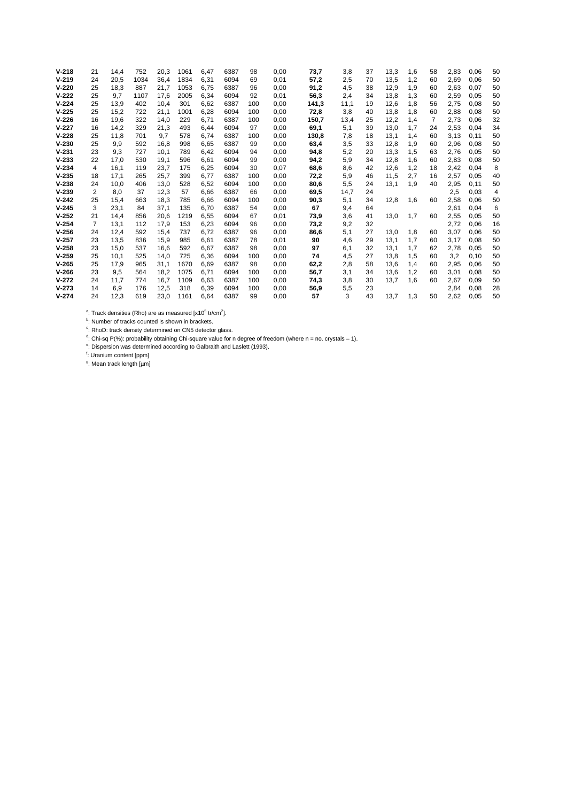| 21             | 14,4                                               | 752                                         | 20,3                                   | 1061                                                 | 6,47                                      | 6387                                         | 98                                           | 0.00                                     | 73,7                                         | 3,8                            | 37                                   | 13,3                                   | 1,6                                          | 58                                                   | 2,83                       | 0,06                                        | 50                                           |
|----------------|----------------------------------------------------|---------------------------------------------|----------------------------------------|------------------------------------------------------|-------------------------------------------|----------------------------------------------|----------------------------------------------|------------------------------------------|----------------------------------------------|--------------------------------|--------------------------------------|----------------------------------------|----------------------------------------------|------------------------------------------------------|----------------------------|---------------------------------------------|----------------------------------------------|
| 24             | 20,5                                               | 1034                                        | 36,4                                   | 1834                                                 | 6,31                                      | 6094                                         | 69                                           | 0,01                                     | 57,2                                         | 2,5                            | 70                                   | 13,5                                   | 1,2                                          | 60                                                   | 2,69                       | 0,06                                        | 50                                           |
| 25             | 18.3                                               | 887                                         | 21,7                                   | 1053                                                 | 6.75                                      | 6387                                         | 96                                           | 0,00                                     | 91,2                                         | 4,5                            | 38                                   | 12,9                                   | 1,9                                          | 60                                                   | 2,63                       | 0,07                                        | 50                                           |
| 25             | 9,7                                                | 1107                                        | 17,6                                   | 2005                                                 | 6,34                                      | 6094                                         | 92                                           | 0,01                                     | 56,3                                         | 2,4                            | 34                                   | 13,8                                   | 1,3                                          | 60                                                   | 2,59                       | 0,05                                        | 50                                           |
| 25             | 13.9                                               | 402                                         | 10.4                                   | 301                                                  | 6.62                                      | 6387                                         | 100                                          | 0,00                                     | 141,3                                        | 11,1                           | 19                                   | 12,6                                   | 1,8                                          | 56                                                   | 2.75                       | 0,08                                        | 50                                           |
| 25             | 15,2                                               | 722                                         | 21,1                                   | 1001                                                 | 6,28                                      | 6094                                         | 100                                          | 0,00                                     | 72,8                                         | 3,8                            | 40                                   | 13.8                                   | 1,8                                          | 60                                                   | 2.88                       | 0.08                                        | 50                                           |
| 16             | 19.6                                               | 322                                         | 14,0                                   | 229                                                  | 6,71                                      | 6387                                         | 100                                          | 0,00                                     | 150,7                                        | 13,4                           | 25                                   | 12,2                                   | 1,4                                          | 7                                                    | 2.73                       | 0,06                                        | 32                                           |
| 16             | 14,2                                               | 329                                         | 21,3                                   | 493                                                  | 6.44                                      | 6094                                         | 97                                           | 0.00                                     | 69,1                                         | 5,1                            | 39                                   | 13,0                                   | 1,7                                          | 24                                                   | 2,53                       | 0,04                                        | 34                                           |
| 25             | 11.8                                               | 701                                         | 9,7                                    | 578                                                  | 6.74                                      | 6387                                         | 100                                          | 0,00                                     | 130,8                                        | 7,8                            | 18                                   | 13,1                                   | 1,4                                          | 60                                                   | 3.13                       | 0,11                                        | 50                                           |
| 25             | 9,9                                                | 592                                         | 16,8                                   | 998                                                  | 6,65                                      | 6387                                         | 99                                           | 0,00                                     | 63,4                                         | 3,5                            | 33                                   | 12,8                                   | 1,9                                          | 60                                                   | 2,96                       | 0,08                                        | 50                                           |
| 23             | 9,3                                                | 727                                         | 10,1                                   | 789                                                  | 6,42                                      | 6094                                         | 94                                           | 0,00                                     | 94,8                                         | 5,2                            | 20                                   | 13,3                                   | 1,5                                          | 63                                                   | 2,76                       | 0,05                                        | 50                                           |
| 22             | 17,0                                               | 530                                         | 19,1                                   | 596                                                  | 6,61                                      | 6094                                         | 99                                           | 0,00                                     | 94,2                                         | 5,9                            | 34                                   | 12,8                                   | 1,6                                          | 60                                                   | 2,83                       | 0,08                                        | 50                                           |
| 4              | 16,1                                               | 119                                         | 23,7                                   | 175                                                  | 6,25                                      | 6094                                         | 30                                           | 0,07                                     | 68,6                                         | 8,6                            | 42                                   | 12,6                                   | 1,2                                          | 18                                                   | 2,42                       | 0,04                                        | 8                                            |
| 18             | 17,1                                               | 265                                         | 25,7                                   | 399                                                  | 6,77                                      | 6387                                         | 100                                          | 0,00                                     | 72,2                                         | 5,9                            | 46                                   | 11,5                                   | 2,7                                          | 16                                                   | 2,57                       | 0,05                                        | 40                                           |
| 24             | 10.0                                               | 406                                         | 13,0                                   | 528                                                  | 6,52                                      | 6094                                         | 100                                          | 0,00                                     | 80,6                                         | 5,5                            | 24                                   | 13,1                                   | 1,9                                          | 40                                                   | 2,95                       | 0,11                                        | 50                                           |
|                | 8,0                                                | 37                                          |                                        | 57                                                   | 6,66                                      | 6387                                         |                                              | 0,00                                     | 69,5                                         | 14,7                           |                                      |                                        |                                              |                                                      | 2,5                        | 0,03                                        | 4                                            |
| 25             | 15,4                                               | 663                                         | 18,3                                   | 785                                                  | 6,66                                      | 6094                                         | 100                                          | 0,00                                     | 90,3                                         | 5,1                            | 34                                   | 12,8                                   |                                              | 60                                                   | 2,58                       | 0,06                                        | 50                                           |
| 3              | 23,1                                               | 84                                          | 37,1                                   | 135                                                  | 6.70                                      | 6387                                         | 54                                           | 0,00                                     | 67                                           | 9,4                            | 64                                   |                                        |                                              |                                                      | 2,61                       | 0,04                                        | 6                                            |
| 21             | 14,4                                               | 856                                         | 20,6                                   | 1219                                                 | 6,55                                      | 6094                                         | 67                                           | 0,01                                     | 73,9                                         | 3,6                            | 41                                   | 13.0                                   |                                              | 60                                                   | 2,55                       | 0,05                                        | 50                                           |
| $\overline{7}$ | 13,1                                               | 112                                         | 17,9                                   | 153                                                  | 6,23                                      | 6094                                         | 96                                           | 0,00                                     | 73,2                                         | 9,2                            | 32                                   |                                        |                                              |                                                      | 2,72                       | 0,06                                        | 16                                           |
|                |                                                    |                                             |                                        |                                                      |                                           |                                              |                                              |                                          | 86,6                                         |                                |                                      |                                        |                                              | 60                                                   |                            |                                             | 50                                           |
| 23             | 13,5                                               | 836                                         | 15,9                                   | 985                                                  | 6,61                                      | 6387                                         | 78                                           | 0,01                                     | 90                                           | 4,6                            | 29                                   | 13,1                                   | 1,7                                          | 60                                                   | 3,17                       | 0,08                                        | 50                                           |
|                |                                                    |                                             |                                        |                                                      |                                           |                                              |                                              |                                          |                                              |                                |                                      |                                        |                                              |                                                      |                            |                                             | 50                                           |
|                |                                                    |                                             |                                        |                                                      |                                           |                                              |                                              |                                          |                                              |                                |                                      |                                        |                                              |                                                      |                            |                                             | 50                                           |
|                |                                                    |                                             |                                        |                                                      |                                           |                                              |                                              |                                          |                                              |                                |                                      |                                        |                                              |                                                      |                            |                                             | 50                                           |
|                |                                                    |                                             |                                        |                                                      |                                           |                                              |                                              |                                          |                                              |                                |                                      |                                        |                                              |                                                      |                            |                                             | 50                                           |
| 24             | 11.7                                               | 774                                         | 16,7                                   | 1109                                                 | 6,63                                      | 6387                                         | 100                                          | 0,00                                     | 74,3                                         | 3,8                            | 30                                   | 13,7                                   | 1,6                                          | 60                                                   | 2,67                       | 0,09                                        | 50                                           |
| 14             | 6,9                                                | 176                                         | 12,5                                   | 318                                                  | 6,39                                      | 6094                                         | 100                                          | 0,00                                     | 56,9                                         | 5,5                            | 23                                   |                                        |                                              |                                                      | 2,84                       | 0,08                                        | 28                                           |
|                |                                                    |                                             |                                        |                                                      |                                           |                                              |                                              |                                          |                                              |                                |                                      |                                        |                                              |                                                      |                            |                                             | 50                                           |
|                | $\overline{2}$<br>24<br>23<br>25<br>25<br>23<br>24 | 12,4<br>15,0<br>10,1<br>17,9<br>9,5<br>12,3 | 592<br>537<br>525<br>965<br>564<br>619 | 12,3<br>15,4<br>16,6<br>14,0<br>31,1<br>18,2<br>23,0 | 737<br>592<br>725<br>1670<br>1075<br>1161 | 6.72<br>6,67<br>6,36<br>6,69<br>6,71<br>6,64 | 6387<br>6387<br>6094<br>6387<br>6094<br>6387 | 66<br>96<br>98<br>100<br>98<br>100<br>99 | 0,00<br>0,00<br>0,00<br>0,00<br>0,00<br>0,00 | 97<br>74<br>62,2<br>56,7<br>57 | 5,1<br>6,1<br>4,5<br>2,8<br>3,1<br>3 | 24<br>27<br>32<br>27<br>58<br>34<br>43 | 13,0<br>13,1<br>13,8<br>13,6<br>13,6<br>13,7 | 1,6<br>1,7<br>1,8<br>1,7<br>1,5<br>1,4<br>1,2<br>1,3 | 62<br>60<br>60<br>60<br>50 | 3,07<br>2,78<br>3,2<br>2,95<br>3,01<br>2,62 | 0,06<br>0,05<br>0,10<br>0,06<br>0,08<br>0,05 |

<sup>a</sup>: Track densities (Rho) are as measured  $[x10^5$  tr/cm<sup>2</sup>].<br><sup>b</sup>: Number of tracks counted is shown in brackets.

<sup>9</sup>: Number of tracks counted is shown in brackets.<br>
<sup>6</sup>: RhoD: track density determined on CN5 detector glass.<br>
<sup>4</sup>: Chi-sq P(%): probability obtaining Chi-square value for n degree of freedom (where n = no. crystals – 1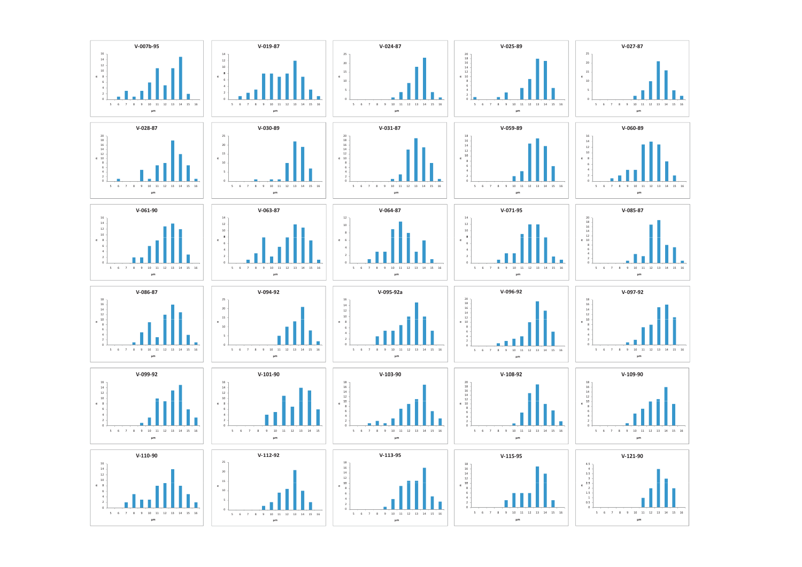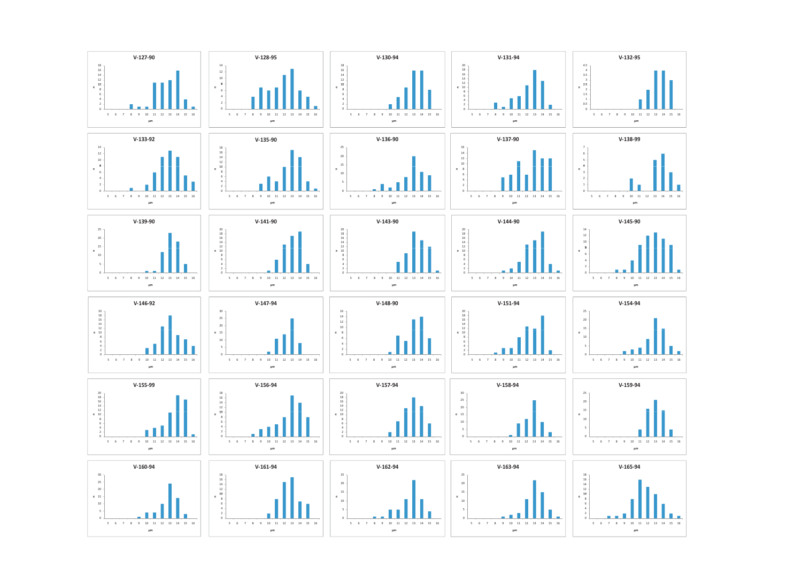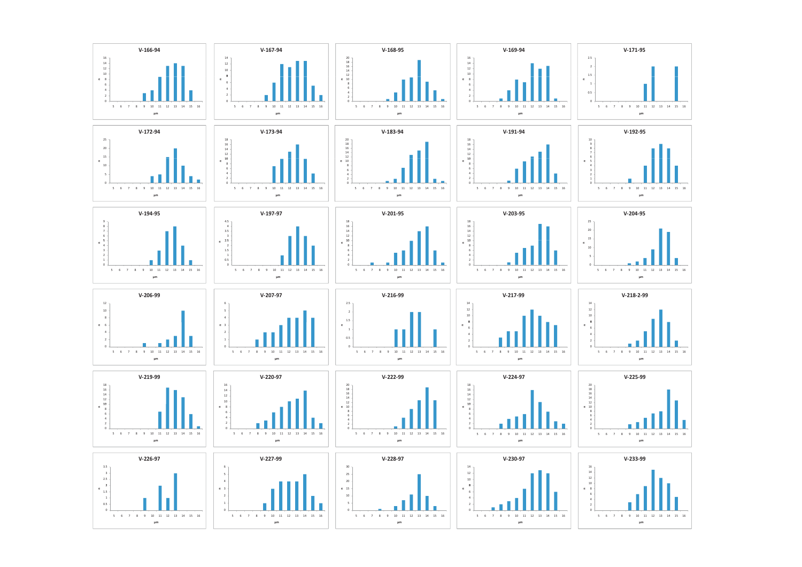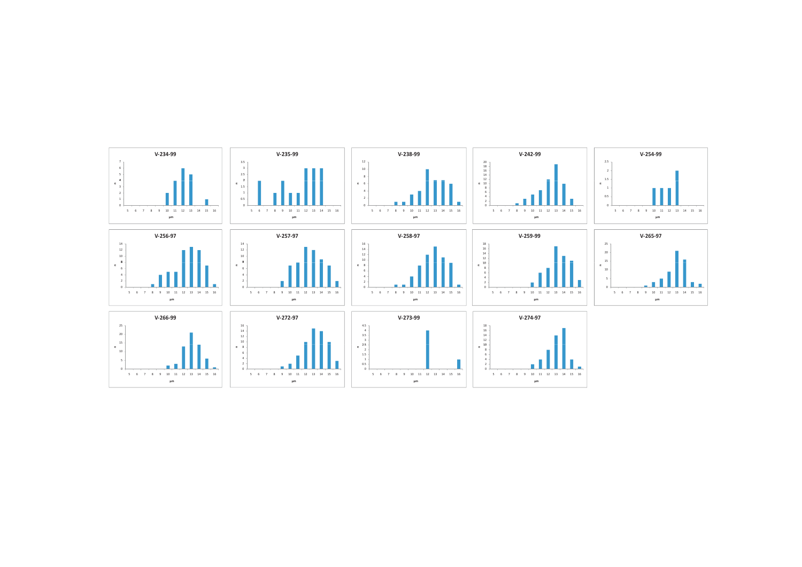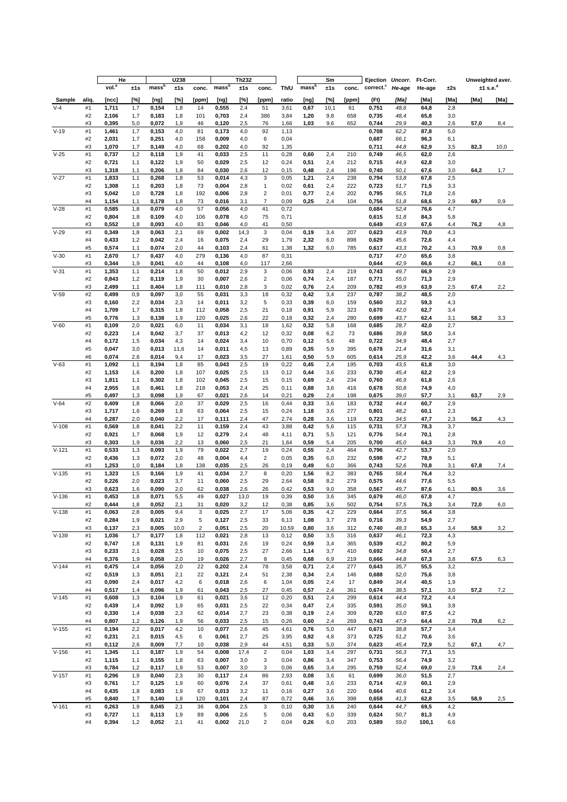|         |          | He             |            |                   | U238        |           |                | Th <sub>232</sub> |                                 |               |                   | Sm         |            |                       | Ejection Uncorr. Ft-Corr. |              |            | Unweighted aver.       |      |
|---------|----------|----------------|------------|-------------------|-------------|-----------|----------------|-------------------|---------------------------------|---------------|-------------------|------------|------------|-----------------------|---------------------------|--------------|------------|------------------------|------|
|         |          | vol.ª          | ±1s        | mass <sup>b</sup> | ±1s         | conc.     | massb          | ±1s               | conc.                           | Th/U          | mass <sup>b</sup> | ±1s        | conc.      | correct. <sup>c</sup> | He-age                    | He-age       | ±2s        | $±1$ s.e. <sup>d</sup> |      |
| Sample  | aliq.    | [ncc]          | [%]        | [ng]              | [%]         | [ppm]     | [ng]           | [%]               | [ppm]                           | ratio         | [ng]              | [%]        | [ppm]      | (Ft)                  | [Ma]                      | [Ma]         | [Ma]       | [Ma]                   | [Ma] |
| $V-4$   | #1       | 1,711          | 1,7        | 0,154             | 1,8         | 14        | 0,555          | 2,4               | 51                              | 3,61          | 0,67              | 10,1       | 61         | 0,751                 | 48,6                      | 64,8         | 2,8        |                        |      |
|         | #2       | 2,106          | 1,7        | 0,183             | 1,8         | 101       | 0,703          | 2,4               | 386                             | 3,84          | 1,20              | 9,8        | 658        | 0,735                 | 48,4                      | 65,8         | 3,0        |                        |      |
| $V-19$  | #3<br>#1 | 0,395<br>1,461 | 5,0<br>1,7 | 0,072<br>0,153    | 1,9<br>4,0  | 46<br>81  | 0,120<br>0,173 | 2,5<br>4,0        | 76<br>92                        | 1,66<br>1,13  | 1,03              | 9,6        | 652        | 0,744<br>0,708        | 29,9<br>62,2              | 40,3<br>87,8 | 2,6<br>5,0 | 57,0                   | 8,4  |
|         | #2       | 2,031          | 1,7        | 0,251             | 4,0         | 158       | 0,009          | 4,0               | 6                               | 0,04          |                   |            |            | 0,687                 | 66,1                      | 96,3         | 6,1        |                        |      |
|         | #3       | 1,070          | 1,7        | 0,149             | 4,0         | 68        | 0,202          | 4,0               | 92                              | 1,35          |                   |            |            | 0,711                 | 44,8                      | 62,9         | 3,5        | 82,3                   | 10,0 |
| $V-25$  | #1       | 0,737          | 1,2        | 0,118             | 1,9         | 41        | 0,033          | 2,5               | 11                              | 0,28          | 0,60              | 2,4        | 210        | 0,749                 | 46,5                      | 62,0         | 2,6        |                        |      |
|         | #2<br>#3 | 0,721<br>1,318 | 1,1<br>1,1 | 0,122<br>0,206    | 1,9<br>1,8  | 50<br>84  | 0,029<br>0,030 | 2,5<br>2,6        | 12<br>12                        | 0,24<br>0,15  | 0,51<br>0,48      | 2,4<br>2,4 | 212<br>196 | 0,715<br>0,740        | 44,9<br>50,1              | 62,8<br>67,6 | 3,0<br>3,0 | 64,2                   | 1,7  |
| $V-27$  | #1       | 1,833          | 1,1        | 0,268             | 1,8         | 53        | 0,014          | 4,3               | 3                               | 0,05          | 1,21              | 2,4        | 238        | 0,794                 | 53,8                      | 67,8         | 2,5        |                        |      |
|         | #2       | 1,308          | 1,1        | 0,203             | 1,8         | 73        | 0,004          | 2,8               | 1                               | 0,02          | 0,61              | 2,4        | 222        | 0,723                 | 51,7                      | 71,5         | 3,3        |                        |      |
|         | #3       | 5,042          | 1,0        | 0,728             | 1,8         | 192       | 0,006          | 2,8               | $\overline{2}$                  | 0,01          | 0,77              | 2,4        | 202        | 0,795                 | 56,5                      | 71,0         | 2,6        |                        |      |
| $V-28$  | #4<br>#1 | 1,154<br>0,585 | 1,1<br>1,8 | 0,178<br>0,079    | 1,8<br>4,0  | 73<br>57  | 0,016<br>0,056 | 3,1<br>4,0        | $\overline{\mathfrak{c}}$<br>41 | 0,09<br>0,72  | 0,25              | 2,4        | 104        | 0,756<br>0,684        | 51,8<br>52,4              | 68,6<br>76,6 | 2,9<br>4,7 | 69,7                   | 0,9  |
|         | #2       | 0,804          | 1,8        | 0,109             | 4,0         | 106       | 0,078          | 4,0               | 75                              | 0,71          |                   |            |            | 0,615                 | 51,8                      | 84,3         | 5,8        |                        |      |
|         | #3       | 0,552          | 1,8        | 0,093             | 4,0         | 83        | 0,046          | 4,0               | 41                              | 0,50          |                   |            |            | 0,649                 | 43,9                      | 67,6         | 4,4        | 76,2                   | 4,8  |
| $V-29$  | #3       | 0,349          | 1,8        | 0,063             | 2,1         | 69        | 0,002          | 14,3              | 3                               | 0,04          | 0,19              | 3,4        | 207        | 0,623                 | 43,9                      | 70,0         | 4,3        |                        |      |
|         | #4       | 0,433          | 1,2        | 0,042<br>0,074    | 2,4         | 16<br>44  | 0,075          | 2,4               | 29                              | 1,79<br>1,38  | 2,32              | 6,0        | 898        | 0,629                 | 45,6                      | 72,6         | 4,4        |                        |      |
| $V-30$  | #5<br>#1 | 0,574<br>2,670 | 1,1<br>1,7 | 0,437             | 2,0<br>4,0  | 279       | 0,103<br>0,136 | 2,4<br>4,0        | 61<br>87                        | 0,31          | 1,32              | 6,0        | 785        | 0,617<br>0,717        | 43,3<br>47,0              | 70,2<br>65,6 | 4,3<br>3,8 | 70,9                   | 0,8  |
|         | #3       | 0,344          | 1,9        | 0,041             | 4,0         | 44        | 0,108          | 4,0               | 117                             | 2,66          |                   |            |            | 0,644                 | 42,9                      | 66,6         | 4,2        | 66,1                   | 0,8  |
| $V-31$  | #1       | 1,353          | 1,1        | 0,214             | 1,8         | 50        | 0,012          | 2,9               | 3                               | 0,06          | 0,93              | 2,4        | 219        | 0,743                 | 49,7                      | 66,9         | 2,9        |                        |      |
|         | #2       | 0,843          | 1,2        | 0,119             | 1,9         | 30        | 0,007          | 2,6               | $\boldsymbol{2}$                | 0,06          | 0,74              | 2,4        | 187        | 0,771                 | 55,0                      | 71,3         | 2,9        |                        |      |
| $V-59$  | #3<br>#2 | 2,499<br>0,499 | 1,1<br>0,9 | 0,404<br>0,097    | 1,8<br>3,0  | 111<br>55 | 0,010<br>0,031 | 2,8<br>3,3        | 3<br>18                         | 0,02<br>0,32  | 0,76<br>0,42      | 2,4<br>3,4 | 209<br>237 | 0,782<br>0,787        | 49,9<br>38,2              | 63,9<br>48,5 | 2,5<br>2,0 | 67,4                   | 2,2  |
|         | #3       | 0,160          | 2,2        | 0,034             | 2,3         | 14        | 0,011          | 3,2               | 5                               | 0,33          | 0,39              | 6,0        | 159        | 0,560                 | 33,2                      | 59,3         | 4,3        |                        |      |
|         | #4       | 1,709          | 1,7        | 0,315             | 1,8         | 112       | 0,058          | 2,5               | 21                              | 0,18          | 0,91              | 5,9        | 323        | 0,670                 | 42,0                      | 62,7         | 3,4        |                        |      |
|         | #5       | 0,776          | 1,3        | 0,138             | 1,9         | 120       | 0,025          | 2,6               | 22                              | 0,18          | 0,32              | 2,4        | 280        | 0,699                 | 43,7                      | 62,4         | 3,1        | 58,2                   | 3,3  |
| $V-60$  | #1<br>#2 | 0,109<br>0,223 | 2,0<br>1,4 | 0,021<br>0,042    | 6,0<br>3,7  | 11<br>37  | 0,034<br>0,013 | 3,1<br>4,2        | 18<br>12                        | 1,62<br>0,32  | 0,32<br>0,08      | 5,8<br>6,2 | 168<br>73  | 0,685<br>0,686        | 28,7<br>39,8              | 42,0<br>58,0 | 2,7<br>3,4 |                        |      |
|         | #4       | 0,172          | 1,5        | 0,034             | 4,3         | 14        | 0,024          | 3,4               | 10                              | 0,70          | 0,12              | 5,6        | 48         | 0,722                 | 34,9                      | 48,4         | 2,7        |                        |      |
|         | #5       | 0,047          | 3,0        | 0,013             | 11,6        | 14        | 0,011          | 4,5               | 13                              | 0,89          | 0,35              | 5,9        | 395        | 0,678                 | 21,4                      | 31,6         | 3,1        |                        |      |
|         | #6       | 0,074          | 2,6        | 0,014             | 9,4         | 17        | 0,023          | 3,5               | 27                              | 1,61          | 0,50              | 5,9        | 605        | 0,614                 | 25,9                      | 42,2         | 3,6        | 44,4                   | 4,3  |
| $V-63$  | #1<br>#2 | 1,092<br>1,153 | 1,1<br>1,6 | 0,194<br>0,200    | 1,8<br>1,8  | 85<br>107 | 0,043<br>0,025 | 2,5<br>2,5        | 19<br>13                        | 0,22<br>0,12  | 0,45<br>0,44      | 2,4<br>3,6 | 195<br>233 | 0,703<br>0,730        | 43,5<br>45,4              | 61,8<br>62,2 | 3,0<br>2,9 |                        |      |
|         | #3       | 1,811          | 1,1        | 0,302             | 1,8         | 102       | 0,045          | 2,5               | 15                              | 0,15          | 0,69              | 2,4        | 234        | 0,760                 | 46,9                      | 61,8         | 2,6        |                        |      |
|         | #4       | 2,955          | 1,6        | 0,461             | 1,8         | 218       | 0,053          | 2,4               | 25                              | 0,11          | 0,88              | 3,6        | 416        | 0,678                 | 50,8                      | 74,9         | 4,0        |                        |      |
|         | #5       | 0,497          | 1,3        | 0,098             | 1,9         | 67        | 0,021          | 2,6               | 14                              | 0,21          | 0,29              | 2,4        | 198        | 0,675                 | 39,0                      | 57,7         | 3,1        | 63,7                   | 2,9  |
| $V-64$  | #2<br>#3 | 0,409          | 1,8        | 0,066             | 2,0         | 37        | 0,029          | 2,5               | 16                              | 0,44          | 0,33              | 3,6        | 183        | 0,732                 | 44,4                      | 60,7         | 2,9        |                        |      |
|         | #4       | 1,717<br>0,287 | 1,6<br>2,0 | 0,269<br>0,040    | 1,8<br>2,2  | 63<br>17  | 0,064<br>0,111 | 2,5<br>2,4        | 15<br>47                        | 0,24<br>2,74  | 1,18<br>0,28      | 3,6<br>3,6 | 277<br>119 | 0,801<br>0,723        | 48,2<br>34,5              | 60,1<br>47,7 | 2,3<br>2,3 | 56,2                   | 4,3  |
| $V-108$ | #1       | 0,569          | 1,8        | 0,041             | 2,2         | 11        | 0,159          | 2,4               | 43                              | 3,88          | 0,42              | 5,6        | 115        | 0,731                 | 57,3                      | 78,3         | 3,7        |                        |      |
|         | #2       | 0,921          | 1,7        | 0,068             | 1,9         | 12        | 0,279          | 2,4               | 48                              | 4,11          | 0,71              | 5,5        | 121        | 0,776                 | 54,4                      | 70,1         | 2,8        |                        |      |
|         | #3       | 0,303          | 1,9        | 0,036             | 2,2         | 13        | 0,060          | 2,5               | 21                              | 1,64          | 0,59              | 5,4        | 205        | 0,700                 | 45,0                      | 64,3         | 3,3        | 70,9                   | 4,0  |
| $V-121$ | #1<br>#2 | 0,533<br>0,436 | 1,3<br>1,3 | 0,093<br>0,072    | 1,9<br>2,0  | 79<br>48  | 0,022<br>0,004 | 2,7<br>4,4        | 19<br>$\overline{\mathbf{c}}$   | 0,24<br>0,05  | 0,55<br>0,35      | 2,4<br>6,0 | 464<br>232 | 0,796<br>0,598        | 42.7<br>47,2              | 53,7<br>78,9 | 2,0<br>5,1 |                        |      |
|         | #3       | 1,253          | 1,0        | 0,184             | 1,8         | 138       | 0,035          | 2,5               | 26                              | 0,19          | 0,49              | 6,0        | 366        | 0,743                 | 52,6                      | 70,8         | 3,1        | 67,8                   | 7,4  |
| $V-135$ | #1       | 1,323          | 1,5        | 0,166             | 1,9         | 41        | 0,034          | 2,7               | 8                               | 0,20          | 1,56              | 8,2        | 383        | 0,765                 | 58,4                      | 76,4         | 3,2        |                        |      |
|         | #2       | 0,226          | 2,0        | 0,023             | 3,7         | 11        | 0,060          | 2,5               | 29                              | 2,64          | 0,58              | 8,2        | 279        | 0,575                 | 44,6                      | 77,6         | 5,5        |                        |      |
| $V-136$ | #3<br>#1 | 0,623<br>0,453 | 1,6<br>1,8 | 0,090<br>0,071    | 2,0<br>5,5  | 62<br>49  | 0,038<br>0,027 | 2,6<br>13,0       | 26<br>19                        | 0,42<br>0,39  | 0,53<br>0,50      | 9,0<br>3,6 | 358<br>345 | 0,567<br>0,679        | 49,7<br>46,0              | 87,6<br>67,8 | 6,1<br>4,7 | 80,5                   | 3,6  |
|         | #2       | 0,444          | 1,8        | 0,052             | 2,1         | 31        | 0,020          | 3,2               | 12                              | 0,38          | 0,85              | 3,6        | 502        | 0,754                 | 57,5                      | 76,3         | 3,4        | 72,0                   | 6,0  |
| $V-138$ | #1       | 0,063          | 2,8        | 0,005             | 9,4         | 3         | 0,025          | 2,7               | 17                              | 5,06          | 0,35              | 4,2        | 229        | 0,664                 | 37,5                      | 56,4         | 3,8        |                        |      |
|         | #2       | 0,284          | 1,9        | 0,021             | 2,9         | 5         | 0,127          | 2,5               | 33                              | 6,13          | 1,08              | 3,7        | 278        | 0,716                 | 39,3                      | 54,9         | 2,7        |                        |      |
| $V-139$ | #3<br>#1 | 0,137<br>1,036 | 2,3<br>1,7 | 0,005<br>0,177    | 10,0<br>1,8 | 2<br>112  | 0,051<br>0,021 | 2,5<br>2,8        | 20<br>13                        | 10,59<br>0,12 | 0,80<br>0,50      | 3,6<br>3,5 | 312<br>316 | 0,740<br>0,637        | 48,3<br>46,1              | 65,3<br>72,3 | 3,4<br>4,3 | 58,9                   | 3,2  |
|         | #2       | 0,747          | 1,8        | 0,131             | 1,9         | 81        | 0,031          | 2,6               | 19                              | 0,24          | 0,59              | 3,4        | 365        | 0,539                 | 43,2                      | 80,2         | 5,9        |                        |      |
|         | #3       | 0,233          | 2,1        | 0,028             | 2,5         | 10        | 0,075          | 2,5               | 27                              | 2,66          | 1,14              | 3,7        | 410        | 0,692                 | 34,8                      | 50,4         | 2,7        |                        |      |
|         | #4       | 0,376          | 1,9        | 0,058             | 2,0         | 19        | 0,026          | 2,7               | 8                               | 0,45          | 0,68              | 6,9        | 219        | 0,666                 | 44,8                      | 67,3         | 3,8        | 67,5                   | 6,3  |
| $V-144$ | #1<br>#2 | 0,475<br>0,519 | 1,4        | 0,056<br>0,051    | 2,0         | 22<br>22  | 0,202<br>0,121 | 2,4<br>2,4        | 78<br>51                        | 3,58          | 0,71              | 2,4        | 277<br>146 | 0,643<br>0,688        | 35,7<br>52,0              | 55,5<br>75,6 | 3,2        |                        |      |
|         | #3       | 0,090          | 1,3<br>2,4 | 0,017             | 2,1<br>4,2  | 6         | 0,018          | 2,6               | 6                               | 2,38<br>1,04  | 0,34<br>0,05      | 2,4<br>2,4 | 17         | 0,849                 | 34,4                      | 40,5         | 3,8<br>1,9 |                        |      |
|         | #4       | 0,517          | 1,4        | 0,096             | 1,9         | 61        | 0,043          | 2,5               | 27                              | 0,45          | 0,57              | 2,4        | 361        | 0,674                 | 38,5                      | 57,1         | 3,0        | 57,2                   | 7,2  |
| $V-145$ | #1       | 0,608          | 1,3        | 0,104             | 1,9         | 61        | 0,021          | 3,6               | 12                              | 0,20          | 0,51              | 2,4        | 299        | 0,614                 | 44,4                      | 72,2         | 4,4        |                        |      |
|         | $\#2$    | 0,439          | 1,4        | 0,092             | 1,9         | 65        | 0,031          | 2,5               | 22                              | 0,34          | 0,47              | 2,4        | 335        | 0,591                 | 35,0                      | 59,1         | 3,8        |                        |      |
|         | #3<br>#4 | 0,330<br>0,807 | 1,4<br>1,2 | 0,038<br>0,126    | 2,3<br>1,9  | 62<br>56  | 0,014<br>0,033 | 2,7<br>2,5        | 23<br>15                        | 0,38<br>0,26  | 0,19<br>0,60      | 2,4<br>2,4 | 309<br>269 | 0,720<br>0,743        | 63,0<br>47,9              | 87,5<br>64,4 | 4,2<br>2,8 | 70,8                   | 6,2  |
| $V-155$ | #1       | 0,194          | 2,2        | 0,017             | 4,2         | 10        | 0,077          | 2,6               | 45                              | 4,61          | 0,76              | 5,0        | 447        | 0,671                 | 38,8                      | 57,7         | 3,4        |                        |      |
|         | #2       | 0,231          | 2,1        | 0,015             | 4,5         | 6         | 0,061          | 2,7               | 25                              | 3,95          | 0,92              | 4,8        | 373        | 0,725                 | 51,2                      | 70,6         | 3,6        |                        |      |
|         | #3       | 0,112          | 2,6        | 0,009             | 7,7         | 10        | 0,038          | 2,9               | 44                              | 4,51          | 0,33              | 5,0        | 374        | 0,623                 | 45,4                      | 72,9         | 5,2        | 67,1                   | 4,7  |
| $V-156$ | #1<br>#2 | 1,345          | 1,1        | 0,187             | 1,9         | 54        | 0,008          | 17,4              | $\mathbf 2$                     | 0,04          | 1,03              | 3,4        | 297        | 0,731                 | 56,3                      | 77,1         | 3,5        |                        |      |
|         | #3       | 1,115<br>0,784 | 1,1<br>1,2 | 0,155<br>0,117    | 1,8<br>1,9  | 63<br>53  | 0,007<br>0,007 | 3,0<br>3,0        | 3<br>3                          | 0,04<br>0,06  | 0,86<br>0,65      | 3,4<br>3,4 | 347<br>295 | 0,753<br>0,759        | 56,4<br>52,4              | 74,9<br>69,0 | 3,2<br>2,9 | 73,6                   | 2,4  |
| $V-157$ | #1       | 0,296          | 1,9        | 0,040             | 2,3         | 30        | 0,117          | 2,4               | 86                              | 2,93          | 0,08              | 3,6        | 61         | 0,699                 | 36,0                      | 51,5         | 2,7        |                        |      |
|         | #3       | 0,761          | 1,7        | 0,125             | 1,9         | 60        | 0,076          | 2,4               | 37                              | 0,61          | 0,48              | 3,6        | 233        | 0,714                 | 42,9                      | 60,1         | 2,9        |                        |      |
|         | #4       | 0,435          | 1,8        | 0,083             | 1,9         | 67        | 0,013          | 3,2               | 11                              | 0,16          | 0,27              | 3,6        | 220        | 0,664                 | 40,6                      | 61,2         | 3,4        |                        |      |
| $V-161$ | #5<br>#1 | 0,840          | 1,7        | 0,140             | 1,8         | 120       | 0,101          | 2,4               | 87                              | 0,72          | 0,46              | 3,6        | 398        | 0,658                 | 41,3                      | 62,8         | 3,5        | 58,9                   | 2,5  |
|         | #3       | 0,263<br>0,727 | 1,9<br>1,1 | 0,045<br>0,113    | 2,1<br>1,9  | 36<br>89  | 0,004<br>0,006 | 2,5<br>2,6        | 3<br>5                          | 0,10<br>0,06  | 0,30<br>0,43      | 3,6<br>6,0 | 240<br>339 | 0,644<br>0,624        | 44,7<br>50,7              | 69,5<br>81,3 | 4,2<br>4,9 |                        |      |
|         | #4       | 0,394          | 1,2        | 0,052             | 2,1         | 41        | 0,002          | 21,0              | $\overline{\mathbf{c}}$         | 0,04          | 0,26              | 6,0        | 203        | 0,589                 | 59,0                      | 100,1        | 6,6        |                        |      |
|         |          |                |            |                   |             |           |                |                   |                                 |               |                   |            |            |                       |                           |              |            |                        |      |